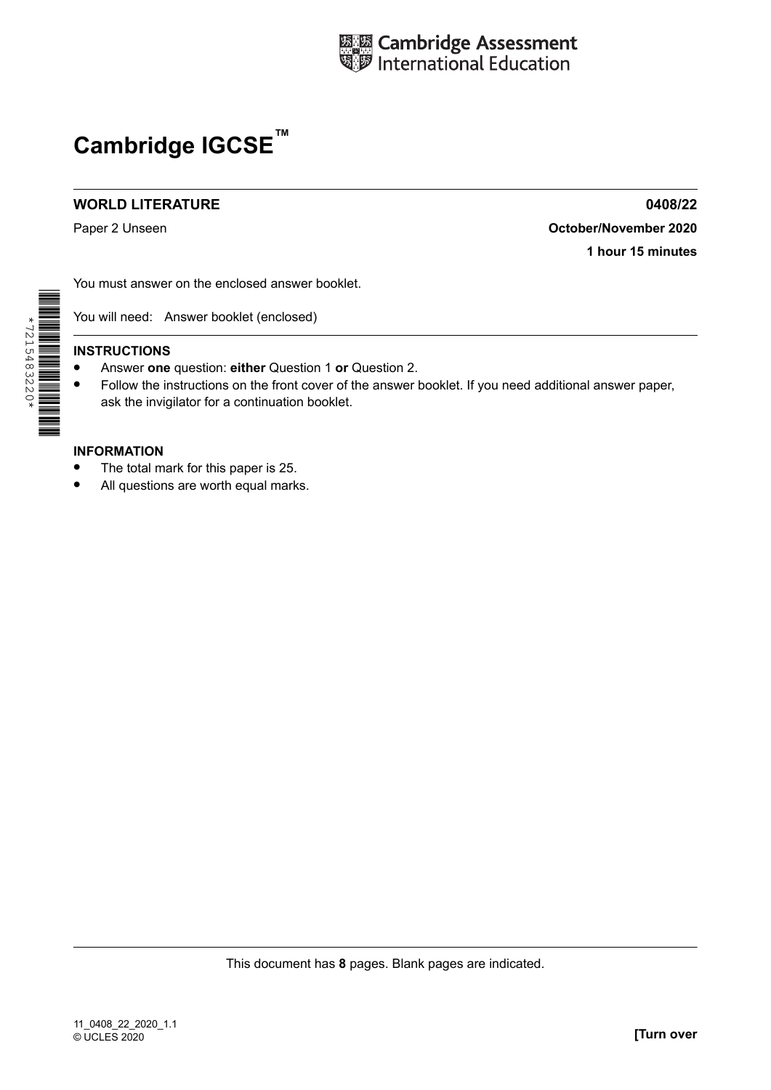

# **Cambridge IGCSE ™**

## **WORLD LITERATURE 0408/22**

Paper 2 Unseen **October/November 2020 1 hour 15 minutes**

You must answer on the enclosed answer booklet.

You will need: Answer booklet (enclosed)

#### **INSTRUCTIONS**

- **•** Answer **one** question: **either** Question 1 **or** Question 2.
- **•** Follow the instructions on the front cover of the answer booklet. If you need additional answer paper, ask the invigilator for a continuation booklet.

#### **INFORMATION**

- **•** The total mark for this paper is 25.
- **•** All questions are worth equal marks.

This document has **8** pages. Blank pages are indicated.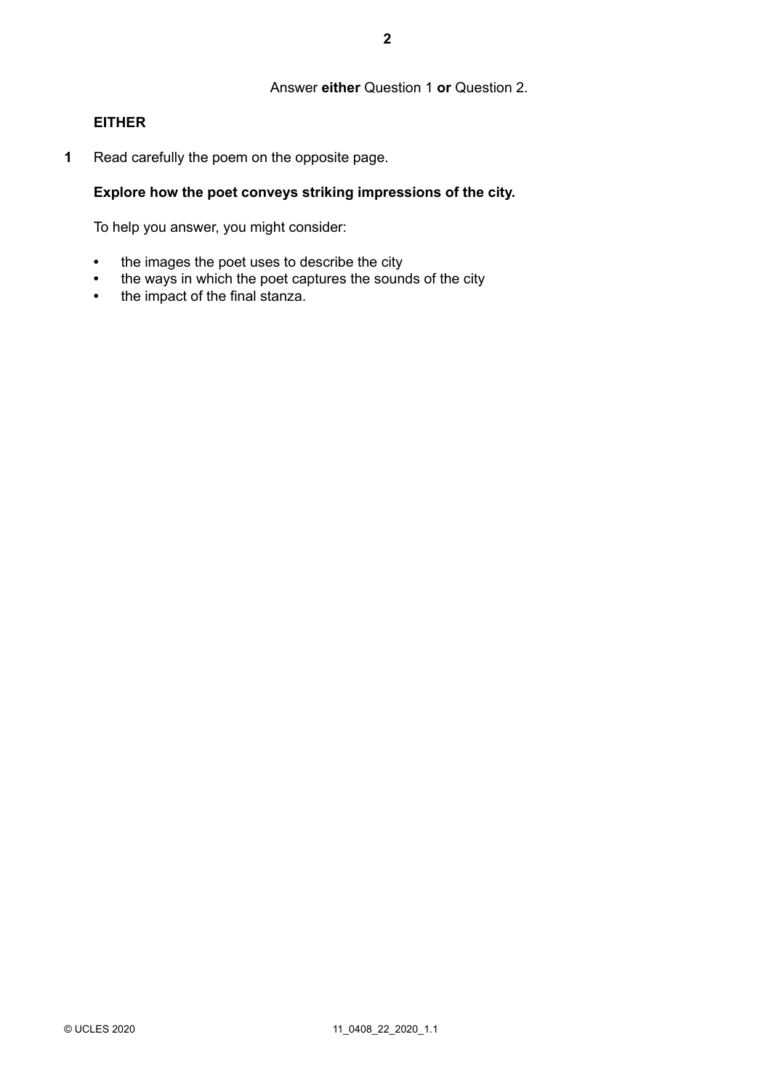## Answer **either** Question 1 **or** Question 2.

### **EITHER**

**1** Read carefully the poem on the opposite page.

#### **Explore how the poet conveys striking impressions of the city.**

To help you answer, you might consider:

- **•** the images the poet uses to describe the city
- **•** the ways in which the poet captures the sounds of the city
- **•** the impact of the final stanza.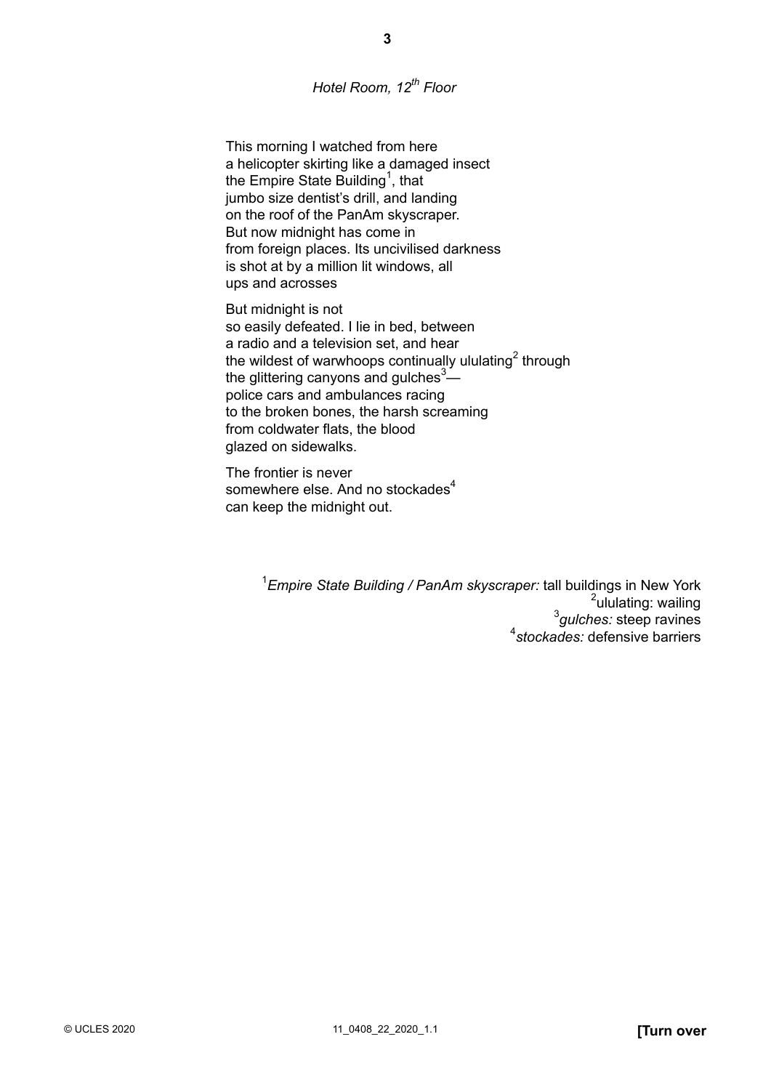*Hotel Room, 12th Floor*

This morning I watched from here a helicopter skirting like a damaged insect the Empire State Building<sup>1</sup>, that jumbo size dentist's drill, and landing on the roof of the PanAm skyscraper. But now midnight has come in from foreign places. Its uncivilised darkness is shot at by a million lit windows, all ups and acrosses

But midnight is not so easily defeated. I lie in bed, between a radio and a television set, and hear the wildest of warwhoops continually ululating<sup>2</sup> through the glittering canyons and gulches $3\overset{3}{-}$ police cars and ambulances racing to the broken bones, the harsh screaming from coldwater flats, the blood glazed on sidewalks.

The frontier is never somewhere else. And no stockades<sup>4</sup> can keep the midnight out.

> *Empire State Building / PanAm skyscraper:* tall buildings in New York <sup>2</sup>ululating: wailing *gulches:* steep ravines *stockades:* defensive barriers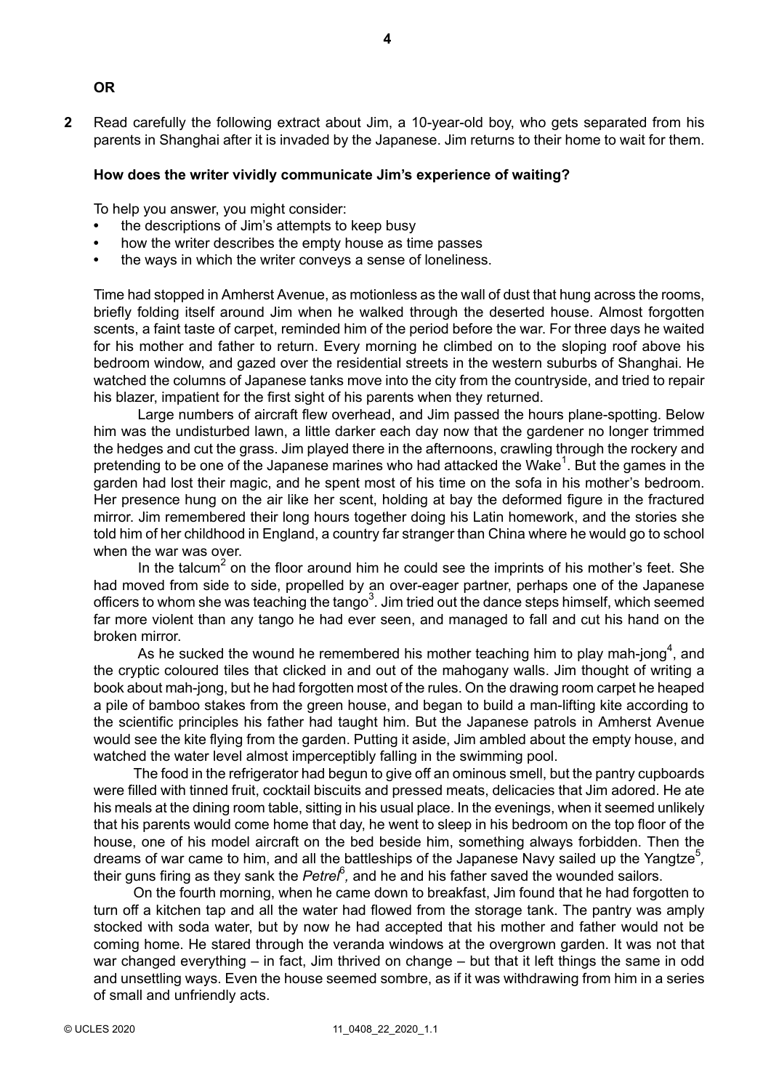#### **OR**

Read carefully the following extract about Jim, a 10-year-old boy, who gets separated from his parents in Shanghai after it is invaded by the Japanese. Jim returns to their home to wait for them. **2**

#### **How does the writer vividly communicate Jim's experience of waiting?**

To help you answer, you might consider:

- **•** the descriptions of Jim's attempts to keep busy
- **•** how the writer describes the empty house as time passes
- **•** the ways in which the writer conveys a sense of loneliness.

Time had stopped in Amherst Avenue, as motionless as the wall of dust that hung across the rooms, briefly folding itself around Jim when he walked through the deserted house. Almost forgotten scents, a faint taste of carpet, reminded him of the period before the war. For three days he waited for his mother and father to return. Every morning he climbed on to the sloping roof above his bedroom window, and gazed over the residential streets in the western suburbs of Shanghai. He watched the columns of Japanese tanks move into the city from the countryside, and tried to repair his blazer, impatient for the first sight of his parents when they returned.

Large numbers of aircraft flew overhead, and Jim passed the hours plane-spotting. Below him was the undisturbed lawn, a little darker each day now that the gardener no longer trimmed the hedges and cut the grass. Jim played there in the afternoons, crawling through the rockery and pretending to be one of the Japanese marines who had attacked the Wake<sup>1</sup>. But the games in the garden had lost their magic, and he spent most of his time on the sofa in his mother's bedroom. Her presence hung on the air like her scent, holding at bay the deformed figure in the fractured mirror. Jim remembered their long hours together doing his Latin homework, and the stories she told him of her childhood in England, a country far stranger than China where he would go to school when the war was over.

In the talcum<sup>2</sup> on the floor around him he could see the imprints of his mother's feet. She had moved from side to side, propelled by an over-eager partner, perhaps one of the Japanese officers to whom she was teaching the tango<sup>3</sup>. Jim tried out the dance steps himself, which seemed far more violent than any tango he had ever seen, and managed to fall and cut his hand on the broken mirror.

As he sucked the wound he remembered his mother teaching him to play mah-jong<sup>4</sup>, and the cryptic coloured tiles that clicked in and out of the mahogany walls. Jim thought of writing a book about mah-jong, but he had forgotten most of the rules. On the drawing room carpet he heaped a pile of bamboo stakes from the green house, and began to build a man-lifting kite according to the scientific principles his father had taught him. But the Japanese patrols in Amherst Avenue would see the kite flying from the garden. Putting it aside, Jim ambled about the empty house, and watched the water level almost imperceptibly falling in the swimming pool.

The food in the refrigerator had begun to give off an ominous smell, but the pantry cupboards were filled with tinned fruit, cocktail biscuits and pressed meats, delicacies that Jim adored. He ate his meals at the dining room table, sitting in his usual place. In the evenings, when it seemed unlikely that his parents would come home that day, he went to sleep in his bedroom on the top floor of the house, one of his model aircraft on the bed beside him, something always forbidden. Then the dreams of war came to him, and all the battleships of the Japanese Navy sailed up the Yangtze<sup>5</sup>, their guns firing as they sank the *Petrel<sup>6</sup>,* and he and his father saved the wounded sailors.

On the fourth morning, when he came down to breakfast, Jim found that he had forgotten to turn off a kitchen tap and all the water had flowed from the storage tank. The pantry was amply stocked with soda water, but by now he had accepted that his mother and father would not be coming home. He stared through the veranda windows at the overgrown garden. It was not that war changed everything – in fact, Jim thrived on change – but that it left things the same in odd and unsettling ways. Even the house seemed sombre, as if it was withdrawing from him in a series of small and unfriendly acts.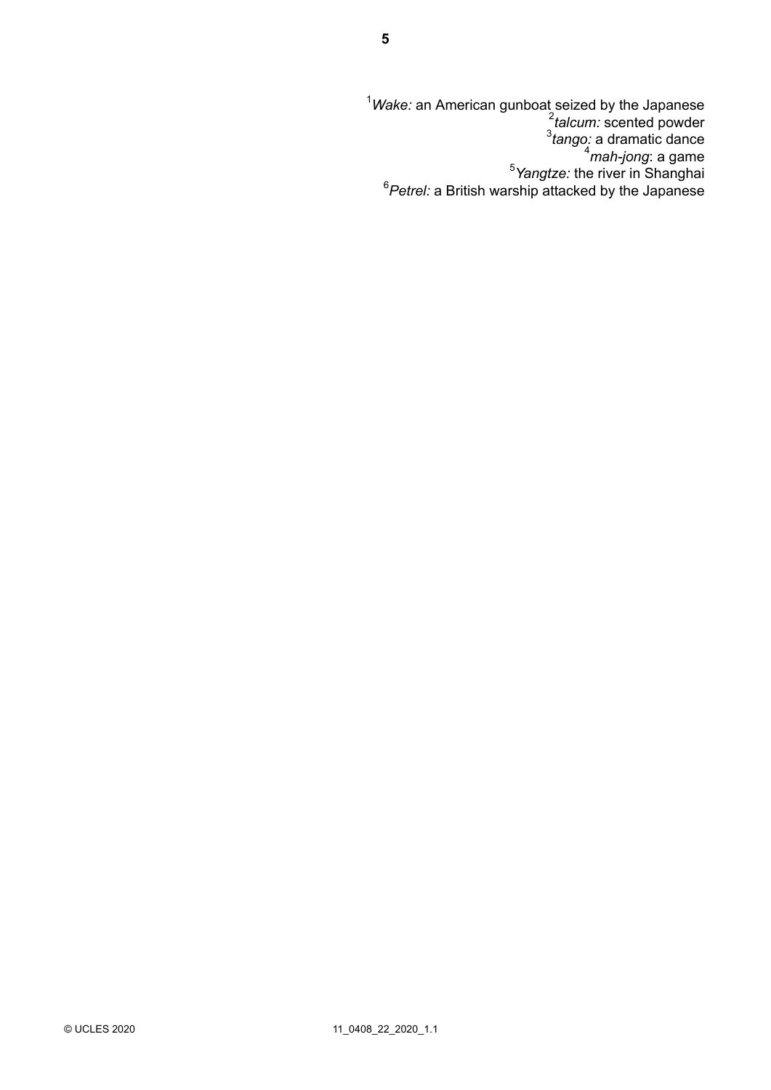<sup>1</sup>*Wake:* an American gunboat seized by the Japanese 2 *talcum:* scented powder 3 *tango:* a dramatic dance *<sup>4</sup>mah-jong*: a game<sup>5</sup><br>Ya*ngtze:* the river in Shanghai<sup>6</sup><br>Petrel: a British warship attacked by the Japanese<sup>6</sup>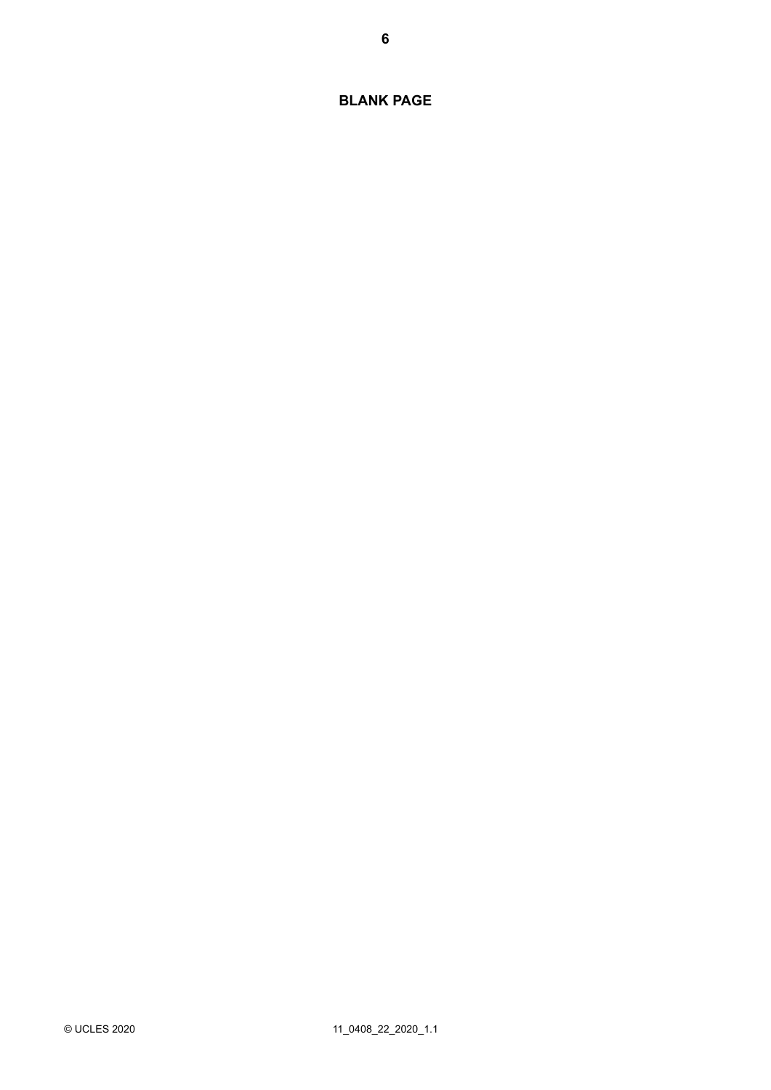## **BLANK PAGE**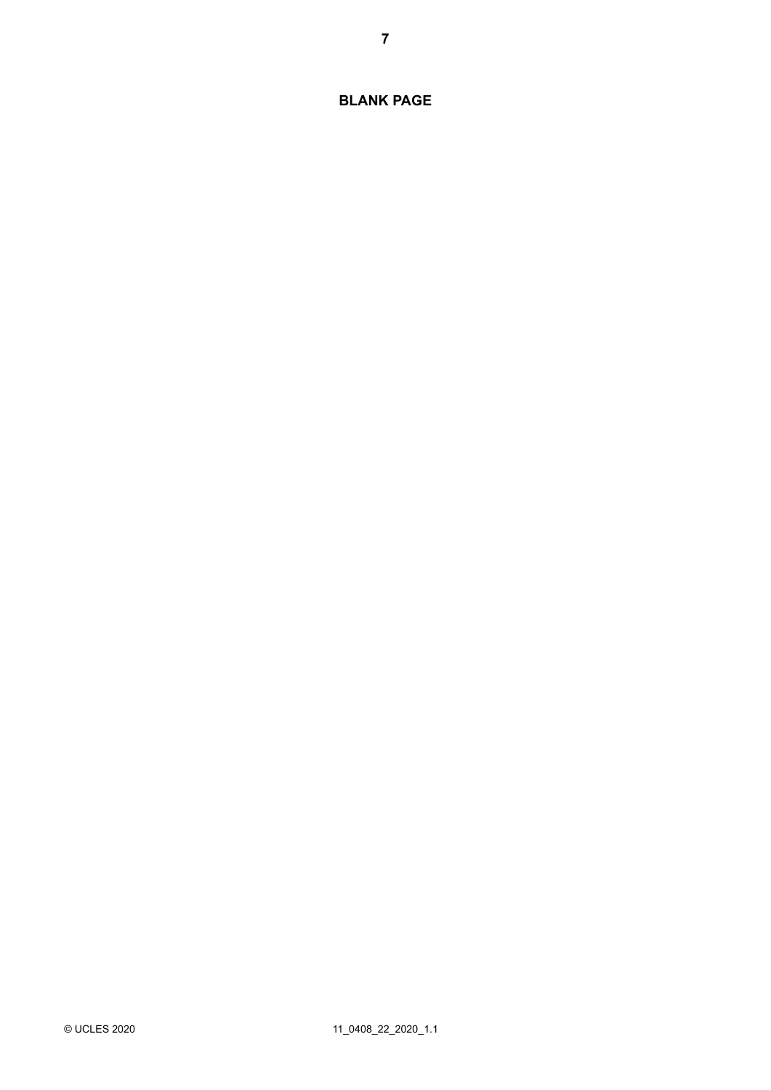## **BLANK PAGE**